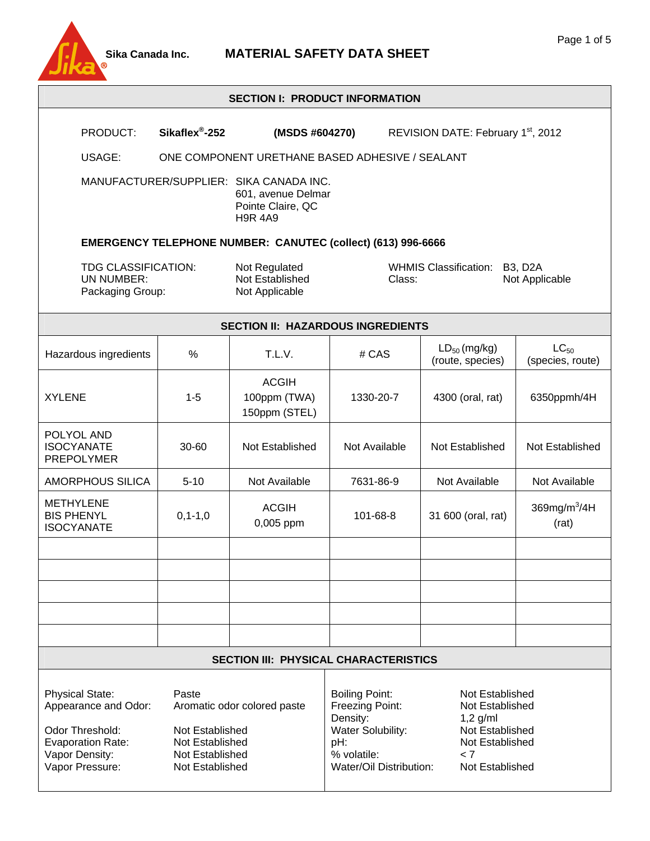

#### **SECTION I: PRODUCT INFORMATION**

| SECTION I: PRODUCT INFORMATION                                                                                                     |                                                                                                                  |                                                                     |                                                                                                                            |                                                                                                                  |                               |
|------------------------------------------------------------------------------------------------------------------------------------|------------------------------------------------------------------------------------------------------------------|---------------------------------------------------------------------|----------------------------------------------------------------------------------------------------------------------------|------------------------------------------------------------------------------------------------------------------|-------------------------------|
| PRODUCT:                                                                                                                           | Sikaflex <sup>®</sup> -252                                                                                       | (MSDS #604270)                                                      |                                                                                                                            | REVISION DATE: February 1 <sup>st</sup> , 2012                                                                   |                               |
| ONE COMPONENT URETHANE BASED ADHESIVE / SEALANT<br>USAGE:                                                                          |                                                                                                                  |                                                                     |                                                                                                                            |                                                                                                                  |                               |
| MANUFACTURER/SUPPLIER: SIKA CANADA INC.<br>601, avenue Delmar<br>Pointe Claire, QC<br><b>H9R 4A9</b>                               |                                                                                                                  |                                                                     |                                                                                                                            |                                                                                                                  |                               |
|                                                                                                                                    |                                                                                                                  | <b>EMERGENCY TELEPHONE NUMBER: CANUTEC (collect) (613) 996-6666</b> |                                                                                                                            |                                                                                                                  |                               |
| TDG CLASSIFICATION:<br>Not Regulated<br>Not Established<br>UN NUMBER:<br>Class:<br>Not Applicable<br>Packaging Group:              |                                                                                                                  | <b>WHMIS Classification:</b>                                        | <b>B3, D2A</b><br>Not Applicable                                                                                           |                                                                                                                  |                               |
|                                                                                                                                    |                                                                                                                  | <b>SECTION II: HAZARDOUS INGREDIENTS</b>                            |                                                                                                                            |                                                                                                                  |                               |
| Hazardous ingredients                                                                                                              | %                                                                                                                | T.L.V.                                                              | # CAS                                                                                                                      | $LD_{50}$ (mg/kg)<br>(route, species)                                                                            | $LC_{50}$<br>(species, route) |
| <b>XYLENE</b>                                                                                                                      | $1 - 5$                                                                                                          | <b>ACGIH</b><br>100ppm (TWA)<br>150ppm (STEL)                       | 1330-20-7                                                                                                                  | 4300 (oral, rat)                                                                                                 | 6350ppmh/4H                   |
| POLYOL AND<br><b>ISOCYANATE</b><br><b>PREPOLYMER</b>                                                                               | 30-60                                                                                                            | Not Established                                                     | Not Available                                                                                                              | Not Established                                                                                                  | Not Established               |
| <b>AMORPHOUS SILICA</b>                                                                                                            | $5 - 10$                                                                                                         | Not Available                                                       | 7631-86-9                                                                                                                  | Not Available                                                                                                    | Not Available                 |
| <b>METHYLENE</b><br><b>BIS PHENYL</b><br><b>ISOCYANATE</b>                                                                         | $0, 1 - 1, 0$                                                                                                    | <b>ACGIH</b><br>0,005 ppm                                           | 101-68-8                                                                                                                   | 31 600 (oral, rat)                                                                                               | 369mg/m $3/4H$<br>(rat)       |
|                                                                                                                                    |                                                                                                                  |                                                                     |                                                                                                                            |                                                                                                                  |                               |
|                                                                                                                                    |                                                                                                                  |                                                                     |                                                                                                                            |                                                                                                                  |                               |
|                                                                                                                                    |                                                                                                                  |                                                                     |                                                                                                                            |                                                                                                                  |                               |
|                                                                                                                                    |                                                                                                                  |                                                                     |                                                                                                                            |                                                                                                                  |                               |
|                                                                                                                                    |                                                                                                                  |                                                                     |                                                                                                                            |                                                                                                                  |                               |
| <b>SECTION III: PHYSICAL CHARACTERISTICS</b>                                                                                       |                                                                                                                  |                                                                     |                                                                                                                            |                                                                                                                  |                               |
| <b>Physical State:</b><br>Appearance and Odor:<br>Odor Threshold:<br><b>Evaporation Rate:</b><br>Vapor Density:<br>Vapor Pressure: | Paste<br>Aromatic odor colored paste<br>Not Established<br>Not Established<br>Not Established<br>Not Established |                                                                     | <b>Boiling Point:</b><br>Freezing Point:<br>Density:<br>Water Solubility:<br>pH:<br>% volatile:<br>Water/Oil Distribution: | Not Established<br>Not Established<br>$1,2$ g/ml<br>Not Established<br>Not Established<br>< 7<br>Not Established |                               |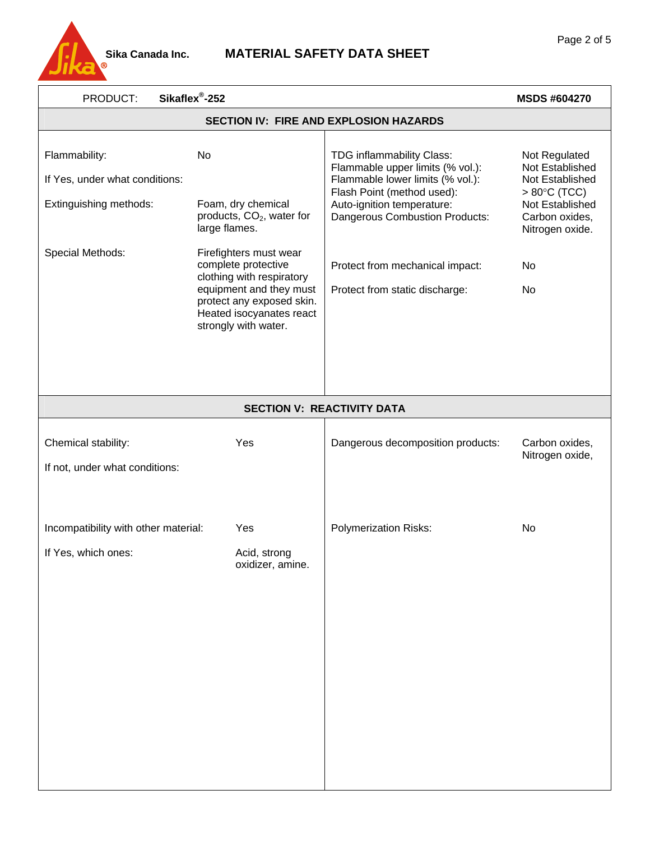

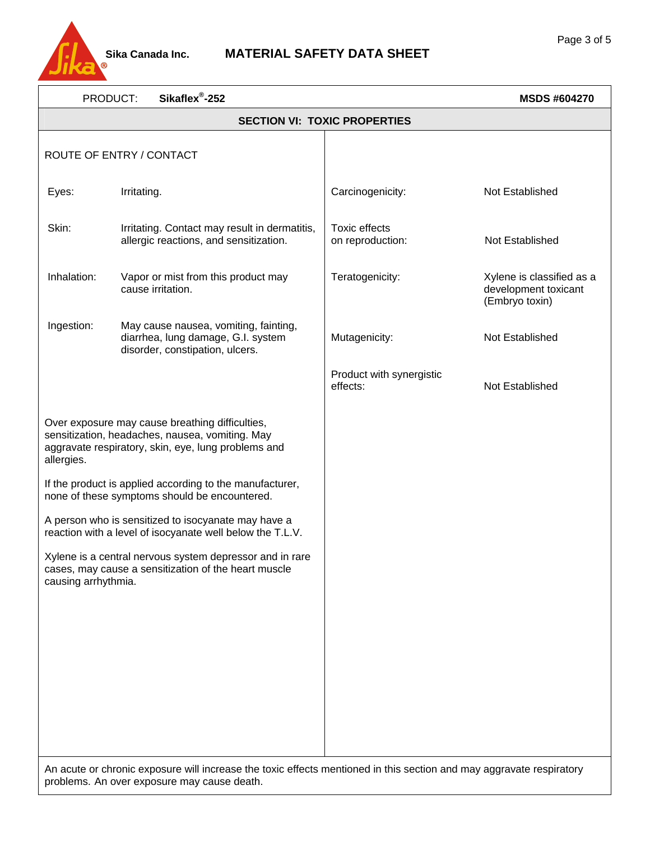

| Sikaflex <sup>®</sup> -252<br>PRODUCT:                                                                                                                                  |                                                                                                                |                                          | <b>MSDS #604270</b>                                                 |  |  |
|-------------------------------------------------------------------------------------------------------------------------------------------------------------------------|----------------------------------------------------------------------------------------------------------------|------------------------------------------|---------------------------------------------------------------------|--|--|
|                                                                                                                                                                         | <b>SECTION VI: TOXIC PROPERTIES</b>                                                                            |                                          |                                                                     |  |  |
| ROUTE OF ENTRY / CONTACT                                                                                                                                                |                                                                                                                |                                          |                                                                     |  |  |
| Eyes:                                                                                                                                                                   | Irritating.                                                                                                    | Carcinogenicity:                         | Not Established                                                     |  |  |
| Skin:                                                                                                                                                                   | Irritating. Contact may result in dermatitis,<br>allergic reactions, and sensitization.                        | <b>Toxic effects</b><br>on reproduction: | Not Established                                                     |  |  |
| Inhalation:                                                                                                                                                             | Vapor or mist from this product may<br>cause irritation.                                                       | Teratogenicity:                          | Xylene is classified as a<br>development toxicant<br>(Embryo toxin) |  |  |
| Ingestion:                                                                                                                                                              | May cause nausea, vomiting, fainting,<br>diarrhea, lung damage, G.I. system<br>disorder, constipation, ulcers. | Mutagenicity:                            | Not Established                                                     |  |  |
|                                                                                                                                                                         |                                                                                                                | Product with synergistic<br>effects:     | Not Established                                                     |  |  |
| Over exposure may cause breathing difficulties,<br>sensitization, headaches, nausea, vomiting. May<br>aggravate respiratory, skin, eye, lung problems and<br>allergies. |                                                                                                                |                                          |                                                                     |  |  |
| If the product is applied according to the manufacturer,<br>none of these symptoms should be encountered.                                                               |                                                                                                                |                                          |                                                                     |  |  |
| A person who is sensitized to isocyanate may have a<br>reaction with a level of isocyanate well below the T.L.V.                                                        |                                                                                                                |                                          |                                                                     |  |  |
| Xylene is a central nervous system depressor and in rare<br>cases, may cause a sensitization of the heart muscle<br>causing arrhythmia.                                 |                                                                                                                |                                          |                                                                     |  |  |
|                                                                                                                                                                         |                                                                                                                |                                          |                                                                     |  |  |
|                                                                                                                                                                         |                                                                                                                |                                          |                                                                     |  |  |
|                                                                                                                                                                         |                                                                                                                |                                          |                                                                     |  |  |
|                                                                                                                                                                         |                                                                                                                |                                          |                                                                     |  |  |

An acute or chronic exposure will increase the toxic effects mentioned in this section and may aggravate respiratory problems. An over exposure may cause death.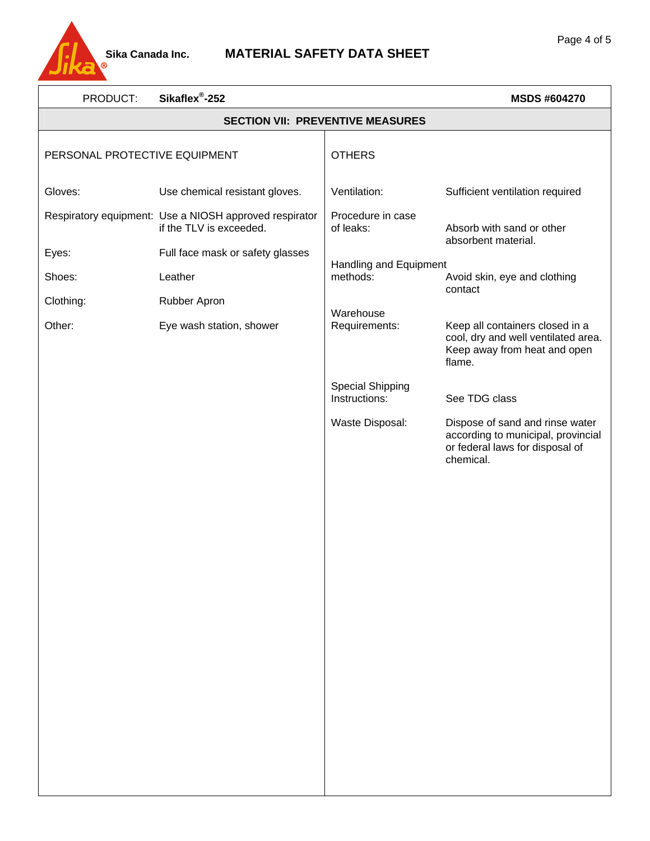

| PRODUCT:                      | Sikaflex <sup>®</sup> -252                                                        |                                          | <b>MSDS #604270</b>                                                                                                   |
|-------------------------------|-----------------------------------------------------------------------------------|------------------------------------------|-----------------------------------------------------------------------------------------------------------------------|
|                               | <b>SECTION VII: PREVENTIVE MEASURES</b>                                           |                                          |                                                                                                                       |
| PERSONAL PROTECTIVE EQUIPMENT |                                                                                   | <b>OTHERS</b>                            |                                                                                                                       |
| Gloves:                       | Use chemical resistant gloves.                                                    | Ventilation:                             | Sufficient ventilation required                                                                                       |
|                               | Respiratory equipment: Use a NIOSH approved respirator<br>if the TLV is exceeded. | Procedure in case<br>of leaks:           | Absorb with sand or other<br>absorbent material.                                                                      |
| Eyes:                         | Full face mask or safety glasses                                                  |                                          |                                                                                                                       |
| Shoes:                        | Leather                                                                           | Handling and Equipment<br>methods:       | Avoid skin, eye and clothing<br>contact                                                                               |
| Clothing:                     | Rubber Apron                                                                      | Warehouse                                |                                                                                                                       |
| Other:                        | Eye wash station, shower                                                          | Requirements:                            | Keep all containers closed in a<br>cool, dry and well ventilated area.<br>Keep away from heat and open<br>flame.      |
|                               |                                                                                   | <b>Special Shipping</b><br>Instructions: | See TDG class                                                                                                         |
|                               |                                                                                   | Waste Disposal:                          | Dispose of sand and rinse water<br>according to municipal, provincial<br>or federal laws for disposal of<br>chemical. |
|                               |                                                                                   |                                          |                                                                                                                       |
|                               |                                                                                   |                                          |                                                                                                                       |
|                               |                                                                                   |                                          |                                                                                                                       |
|                               |                                                                                   |                                          |                                                                                                                       |
|                               |                                                                                   |                                          |                                                                                                                       |
|                               |                                                                                   |                                          |                                                                                                                       |
|                               |                                                                                   |                                          |                                                                                                                       |
|                               |                                                                                   |                                          |                                                                                                                       |
|                               |                                                                                   |                                          |                                                                                                                       |
|                               |                                                                                   |                                          |                                                                                                                       |
|                               |                                                                                   |                                          |                                                                                                                       |